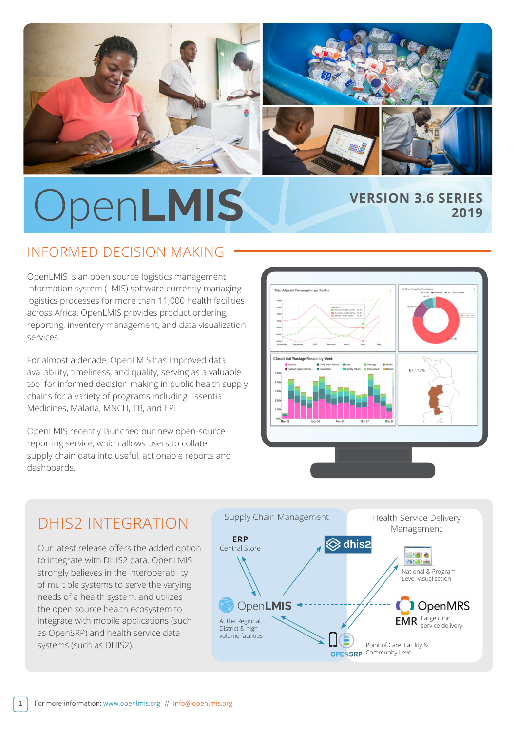

# OpenLMIS **VERSION 3.6 SERIES**

# INFORMED DECISION MAKING

OpenLMIS is an open source logistics management information system (LMIS) software currently managing logistics processes for more than 11,000 health facilities across Africa. OpenLMIS provides product ordering, reporting, inventory management, and data visualization services.

For almost a decade, OpenLMIS has improved data availability, timeliness, and quality, serving as a valuable tool for informed decision making in public health supply chains for a variety of programs including Essential Medicines, Malaria, MNCH, TB, and EPI.

OpenLMIS recently launched our new open-source reporting service, which allows users to collate supply chain data into useful, actionable reports and dashboards.



**2019**

# DHIS2 INTEGRATION

Our latest release offers the added option to integrate with DHIS2 data. OpenLMIS strongly believes in the interoperability of multiple systems to serve the varying needs of a health system, and utilizes the open source health ecosystem to integrate with mobile applications (such as OpenSRP) and health service data systems (such as DHIS2).